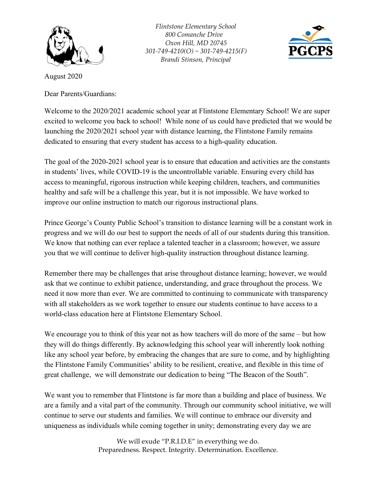

*Flintstone Elementary School 800 Comanche Drive Oxon Hill, MD 20745 301-749-4210(O) ~ 301-749-4215(F) Brandi Stinson, Principal*



August 2020

Dear Parents/Guardians:

Welcome to the 2020/2021 academic school year at Flintstone Elementary School! We are super excited to welcome you back to school! While none of us could have predicted that we would be launching the 2020/2021 school year with distance learning, the Flintstone Family remains dedicated to ensuring that every student has access to a high-quality education.

The goal of the 2020-2021 school year is to ensure that education and activities are the constants in students' lives, while COVID-19 is the uncontrollable variable. Ensuring every child has access to meaningful, rigorous instruction while keeping children, teachers, and communities healthy and safe will be a challenge this year, but it is not impossible. We have worked to improve our online instruction to match our rigorous instructional plans.

Prince George's County Public School's transition to distance learning will be a constant work in progress and we will do our best to support the needs of all of our students during this transition. We know that nothing can ever replace a talented teacher in a classroom; however, we assure you that we will continue to deliver high-quality instruction throughout distance learning.

Remember there may be challenges that arise throughout distance learning; however, we would ask that we continue to exhibit patience, understanding, and grace throughout the process. We need it now more than ever. We are committed to continuing to communicate with transparency with all stakeholders as we work together to ensure our students continue to have access to a world-class education here at Flintstone Elementary School.

We encourage you to think of this year not as how teachers will do more of the same – but how they will do things differently. By acknowledging this school year will inherently look nothing like any school year before, by embracing the changes that are sure to come, and by highlighting the Flintstone Family Communities' ability to be resilient, creative, and flexible in this time of great challenge, we will demonstrate our dedication to being "The Beacon of the South".

We want you to remember that Flintstone is far more than a building and place of business. We are a family and a vital part of the community. Through our community school initiative, we will continue to serve our students and families. We will continue to embrace our diversity and uniqueness as individuals while coming together in unity; demonstrating every day we are

> We will exude "P.R.I.D.E" in everything we do. Preparedness. Respect. Integrity. Determination. Excellence.